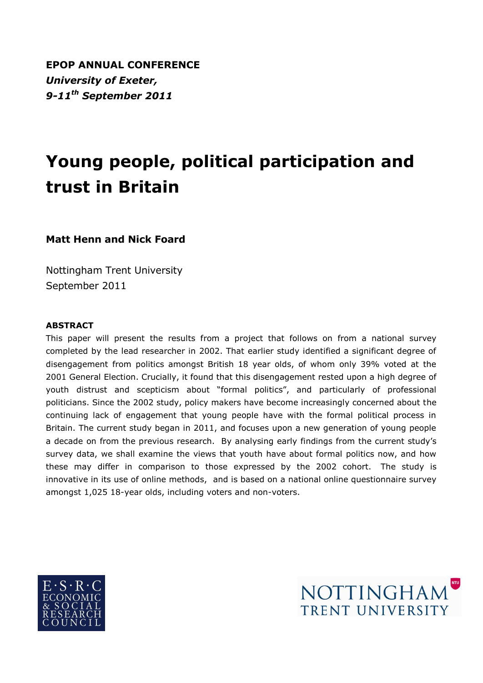**EPOP ANNUAL CONFERENCE** *University of Exeter, 9-11th September 2011*

# **Young people, political participation and trust in Britain**

**Matt Henn and Nick Foard**

Nottingham Trent University September 2011

#### **ABSTRACT**

This paper will present the results from a project that follows on from a national survey completed by the lead researcher in 2002. That earlier study identified a significant degree of disengagement from politics amongst British 18 year olds, of whom only 39% voted at the 2001 General Election. Crucially, it found that this disengagement rested upon a high degree of youth distrust and scepticism about "formal politics", and particularly of professional politicians. Since the 2002 study, policy makers have become increasingly concerned about the continuing lack of engagement that young people have with the formal political process in Britain. The current study began in 2011, and focuses upon a new generation of young people a decade on from the previous research. By analysing early findings from the current study"s survey data, we shall examine the views that youth have about formal politics now, and how these may differ in comparison to those expressed by the 2002 cohort. The study is innovative in its use of online methods, and is based on a national online questionnaire survey amongst 1,025 18-year olds, including voters and non-voters.



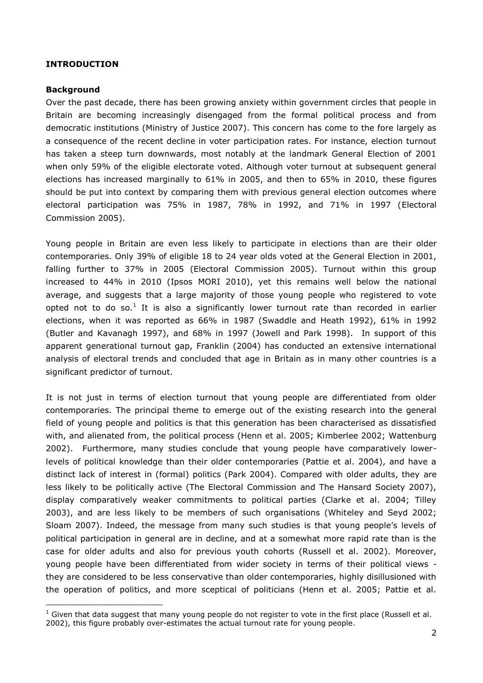#### **INTRODUCTION**

#### **Background**

1

Over the past decade, there has been growing anxiety within government circles that people in Britain are becoming increasingly disengaged from the formal political process and from democratic institutions (Ministry of Justice 2007). This concern has come to the fore largely as a consequence of the recent decline in voter participation rates. For instance, election turnout has taken a steep turn downwards, most notably at the landmark General Election of 2001 when only 59% of the eligible electorate voted. Although voter turnout at subsequent general elections has increased marginally to 61% in 2005, and then to 65% in 2010, these figures should be put into context by comparing them with previous general election outcomes where electoral participation was 75% in 1987, 78% in 1992, and 71% in 1997 (Electoral Commission 2005).

Young people in Britain are even less likely to participate in elections than are their older contemporaries. Only 39% of eligible 18 to 24 year olds voted at the General Election in 2001, falling further to 37% in 2005 (Electoral Commission 2005). Turnout within this group increased to 44% in 2010 (Ipsos MORI 2010), yet this remains well below the national average, and suggests that a large majority of those young people who registered to vote opted not to do so.<sup>1</sup> It is also a significantly lower turnout rate than recorded in earlier elections, when it was reported as 66% in 1987 (Swaddle and Heath 1992), 61% in 1992 (Butler and Kavanagh 1997), and 68% in 1997 (Jowell and Park 1998). In support of this apparent generational turnout gap, Franklin (2004) has conducted an extensive international analysis of electoral trends and concluded that age in Britain as in many other countries is a significant predictor of turnout.

It is not just in terms of election turnout that young people are differentiated from older contemporaries. The principal theme to emerge out of the existing research into the general field of young people and politics is that this generation has been characterised as dissatisfied with, and alienated from, the political process (Henn et al. 2005; Kimberlee 2002; Wattenburg 2002). Furthermore, many studies conclude that young people have comparatively lowerlevels of political knowledge than their older contemporaries (Pattie et al. 2004), and have a distinct lack of interest in (formal) politics (Park 2004). Compared with older adults, they are less likely to be politically active (The Electoral Commission and The Hansard Society 2007), display comparatively weaker commitments to political parties (Clarke et al. 2004; Tilley 2003), and are less likely to be members of such organisations (Whiteley and Seyd 2002; Sloam 2007). Indeed, the message from many such studies is that young people"s levels of political participation in general are in decline, and at a somewhat more rapid rate than is the case for older adults and also for previous youth cohorts (Russell et al. 2002). Moreover, young people have been differentiated from wider society in terms of their political views they are considered to be less conservative than older contemporaries, highly disillusioned with the operation of politics, and more sceptical of politicians (Henn et al. 2005; Pattie et al.

 $<sup>1</sup>$  Given that data suggest that many young people do not register to vote in the first place (Russell et al.</sup> 2002), this figure probably over-estimates the actual turnout rate for young people.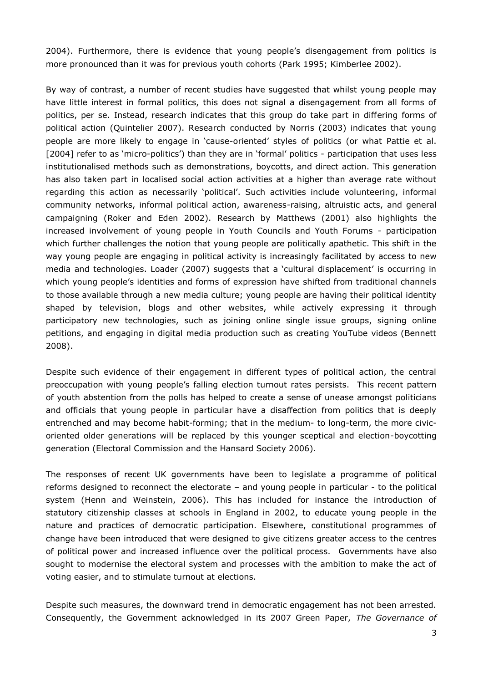2004). Furthermore, there is evidence that young people"s disengagement from politics is more pronounced than it was for previous youth cohorts (Park 1995; Kimberlee 2002).

By way of contrast, a number of recent studies have suggested that whilst young people may have little interest in formal politics, this does not signal a disengagement from all forms of politics, per se. Instead, research indicates that this group do take part in differing forms of political action (Quintelier 2007). Research conducted by Norris (2003) indicates that young people are more likely to engage in "cause-oriented" styles of politics (or what Pattie et al. [2004] refer to as 'micro-politics') than they are in 'formal' politics - participation that uses less institutionalised methods such as demonstrations, boycotts, and direct action. This generation has also taken part in localised social action activities at a higher than average rate without regarding this action as necessarily "political". Such activities include volunteering, informal community networks, informal political action, awareness-raising, altruistic acts, and general campaigning (Roker and Eden 2002). Research by Matthews (2001) also highlights the increased involvement of young people in Youth Councils and Youth Forums - participation which further challenges the notion that young people are politically apathetic. This shift in the way young people are engaging in political activity is increasingly facilitated by access to new media and technologies. Loader (2007) suggests that a "cultural displacement" is occurring in which young people's identities and forms of expression have shifted from traditional channels to those available through a new media culture; young people are having their political identity shaped by television, blogs and other websites, while actively expressing it through participatory new technologies, such as joining online single issue groups, signing online petitions, and engaging in digital media production such as creating YouTube videos (Bennett 2008).

Despite such evidence of their engagement in different types of political action, the central preoccupation with young people"s falling election turnout rates persists. This recent pattern of youth abstention from the polls has helped to create a sense of unease amongst politicians and officials that young people in particular have a disaffection from politics that is deeply entrenched and may become habit-forming; that in the medium- to long-term, the more civicoriented older generations will be replaced by this younger sceptical and election-boycotting generation (Electoral Commission and the Hansard Society 2006).

The responses of recent UK governments have been to legislate a programme of political reforms designed to reconnect the electorate – and young people in particular - to the political system (Henn and Weinstein, 2006). This has included for instance the introduction of statutory citizenship classes at schools in England in 2002, to educate young people in the nature and practices of democratic participation. Elsewhere, constitutional programmes of change have been introduced that were designed to give citizens greater access to the centres of political power and increased influence over the political process. Governments have also sought to modernise the electoral system and processes with the ambition to make the act of voting easier, and to stimulate turnout at elections.

Despite such measures, the downward trend in democratic engagement has not been arrested. Consequently, the Government acknowledged in its 2007 Green Paper, *The Governance of*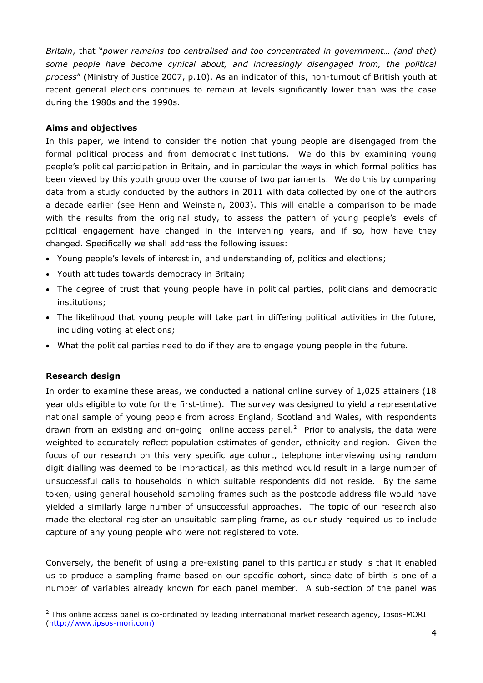*Britain*, that "*power remains too centralised and too concentrated in government… (and that) some people have become cynical about, and increasingly disengaged from, the political process*" (Ministry of Justice 2007, p.10). As an indicator of this, non-turnout of British youth at recent general elections continues to remain at levels significantly lower than was the case during the 1980s and the 1990s.

#### **Aims and objectives**

In this paper, we intend to consider the notion that young people are disengaged from the formal political process and from democratic institutions. We do this by examining young people"s political participation in Britain, and in particular the ways in which formal politics has been viewed by this youth group over the course of two parliaments. We do this by comparing data from a study conducted by the authors in 2011 with data collected by one of the authors a decade earlier (see Henn and Weinstein, 2003). This will enable a comparison to be made with the results from the original study, to assess the pattern of young people's levels of political engagement have changed in the intervening years, and if so, how have they changed. Specifically we shall address the following issues:

- Young people"s levels of interest in, and understanding of, politics and elections;
- Youth attitudes towards democracy in Britain;
- The degree of trust that young people have in political parties, politicians and democratic institutions;
- The likelihood that young people will take part in differing political activities in the future, including voting at elections;
- What the political parties need to do if they are to engage young people in the future.

## **Research design**

1

In order to examine these areas, we conducted a national online survey of 1,025 attainers (18 year olds eligible to vote for the first-time). The survey was designed to yield a representative national sample of young people from across England, Scotland and Wales, with respondents drawn from an existing and on-going online access panel.<sup>2</sup> Prior to analysis, the data were weighted to accurately reflect population estimates of gender, ethnicity and region. Given the focus of our research on this very specific age cohort, telephone interviewing using random digit dialling was deemed to be impractical, as this method would result in a large number of unsuccessful calls to households in which suitable respondents did not reside. By the same token, using general household sampling frames such as the postcode address file would have yielded a similarly large number of unsuccessful approaches. The topic of our research also made the electoral register an unsuitable sampling frame, as our study required us to include capture of any young people who were not registered to vote.

Conversely, the benefit of using a pre-existing panel to this particular study is that it enabled us to produce a sampling frame based on our specific cohort, since date of birth is one of a number of variables already known for each panel member. A sub-section of the panel was

 $<sup>2</sup>$  This online access panel is co-ordinated by leading international market research agency, Ipsos-MORI</sup> [\(http://www.ipsos-mori.com\)](http://www.ipsos-mori.com)/)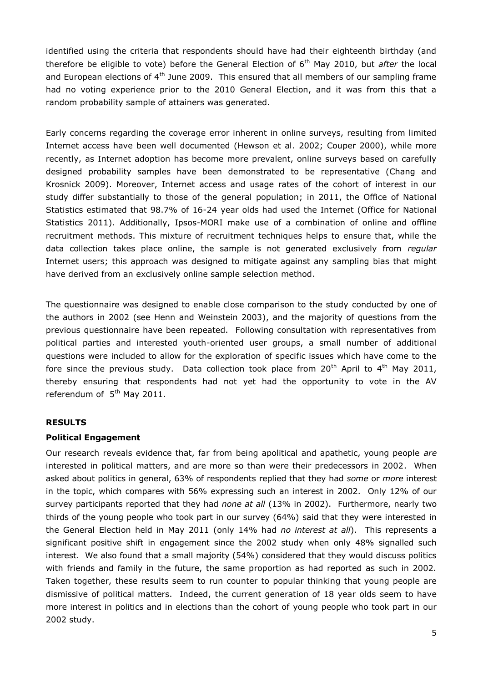identified using the criteria that respondents should have had their eighteenth birthday (and therefore be eligible to vote) before the General Election of 6<sup>th</sup> May 2010, but *after* the local and European elections of  $4<sup>th</sup>$  June 2009. This ensured that all members of our sampling frame had no voting experience prior to the 2010 General Election, and it was from this that a random probability sample of attainers was generated.

Early concerns regarding the coverage error inherent in online surveys, resulting from limited Internet access have been well documented (Hewson et al. 2002; Couper 2000), while more recently, as Internet adoption has become more prevalent, online surveys based on carefully designed probability samples have been demonstrated to be representative (Chang and Krosnick 2009). Moreover, Internet access and usage rates of the cohort of interest in our study differ substantially to those of the general population; in 2011, the Office of National Statistics estimated that 98.7% of 16-24 year olds had used the Internet (Office for National Statistics 2011). Additionally, Ipsos-MORI make use of a combination of online and offline recruitment methods. This mixture of recruitment techniques helps to ensure that, while the data collection takes place online, the sample is not generated exclusively from *regular* Internet users; this approach was designed to mitigate against any sampling bias that might have derived from an exclusively online sample selection method.

The questionnaire was designed to enable close comparison to the study conducted by one of the authors in 2002 (see Henn and Weinstein 2003), and the majority of questions from the previous questionnaire have been repeated. Following consultation with representatives from political parties and interested youth-oriented user groups, a small number of additional questions were included to allow for the exploration of specific issues which have come to the fore since the previous study. Data collection took place from  $20^{th}$  April to  $4^{th}$  May 2011, thereby ensuring that respondents had not yet had the opportunity to vote in the AV referendum of  $5<sup>th</sup>$  May 2011.

# **RESULTS**

## **Political Engagement**

Our research reveals evidence that, far from being apolitical and apathetic, young people *are* interested in political matters, and are more so than were their predecessors in 2002. When asked about politics in general, 63% of respondents replied that they had *some* or *more* interest in the topic, which compares with 56% expressing such an interest in 2002. Only 12% of our survey participants reported that they had *none at all* (13% in 2002). Furthermore, nearly two thirds of the young people who took part in our survey (64%) said that they were interested in the General Election held in May 2011 (only 14% had *no interest at all*). This represents a significant positive shift in engagement since the 2002 study when only 48% signalled such interest. We also found that a small majority (54%) considered that they would discuss politics with friends and family in the future, the same proportion as had reported as such in 2002. Taken together, these results seem to run counter to popular thinking that young people are dismissive of political matters. Indeed, the current generation of 18 year olds seem to have more interest in politics and in elections than the cohort of young people who took part in our 2002 study.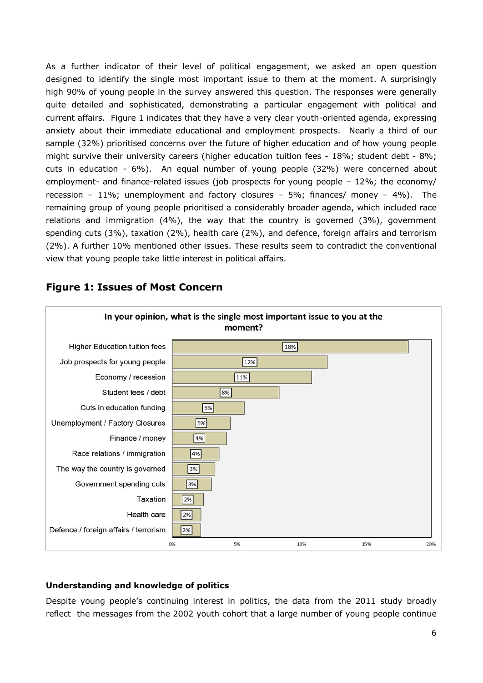As a further indicator of their level of political engagement, we asked an open question designed to identify the single most important issue to them at the moment. A surprisingly high 90% of young people in the survey answered this question. The responses were generally quite detailed and sophisticated, demonstrating a particular engagement with political and current affairs. Figure 1 indicates that they have a very clear youth-oriented agenda, expressing anxiety about their immediate educational and employment prospects. Nearly a third of our sample (32%) prioritised concerns over the future of higher education and of how young people might survive their university careers (higher education tuition fees - 18%; student debt - 8%; cuts in education - 6%). An equal number of young people (32%) were concerned about employment- and finance-related issues (job prospects for young people – 12%; the economy/ recession – 11%; unemployment and factory closures – 5%; finances/ money – 4%). The remaining group of young people prioritised a considerably broader agenda, which included race relations and immigration (4%), the way that the country is governed (3%), government spending cuts (3%), taxation (2%), health care (2%), and defence, foreign affairs and terrorism (2%). A further 10% mentioned other issues. These results seem to contradict the conventional view that young people take little interest in political affairs.



# **Figure 1: Issues of Most Concern**

# **Understanding and knowledge of politics**

Despite young people's continuing interest in politics, the data from the 2011 study broadly reflect the messages from the 2002 youth cohort that a large number of young people continue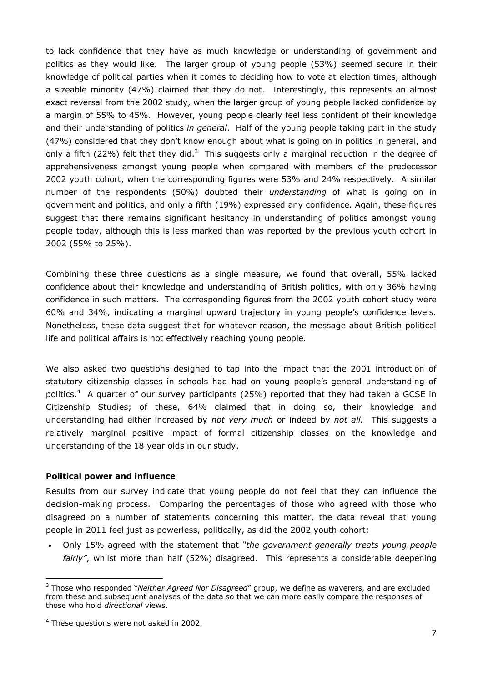to lack confidence that they have as much knowledge or understanding of government and politics as they would like. The larger group of young people (53%) seemed secure in their knowledge of political parties when it comes to deciding how to vote at election times, although a sizeable minority (47%) claimed that they do not. Interestingly, this represents an almost exact reversal from the 2002 study, when the larger group of young people lacked confidence by a margin of 55% to 45%. However, young people clearly feel less confident of their knowledge and their understanding of politics *in general*. Half of the young people taking part in the study (47%) considered that they don"t know enough about what is going on in politics in general, and only a fifth (22%) felt that they did.<sup>3</sup> This suggests only a marginal reduction in the degree of apprehensiveness amongst young people when compared with members of the predecessor 2002 youth cohort, when the corresponding figures were 53% and 24% respectively. A similar number of the respondents (50%) doubted their *understanding* of what is going on in government and politics, and only a fifth (19%) expressed any confidence. Again, these figures suggest that there remains significant hesitancy in understanding of politics amongst young people today, although this is less marked than was reported by the previous youth cohort in 2002 (55% to 25%).

Combining these three questions as a single measure, we found that overall, 55% lacked confidence about their knowledge and understanding of British politics, with only 36% having confidence in such matters. The corresponding figures from the 2002 youth cohort study were 60% and 34%, indicating a marginal upward trajectory in young people"s confidence levels. Nonetheless, these data suggest that for whatever reason, the message about British political life and political affairs is not effectively reaching young people.

We also asked two questions designed to tap into the impact that the 2001 introduction of statutory citizenship classes in schools had had on young people"s general understanding of politics.<sup>4</sup> A quarter of our survey participants (25%) reported that they had taken a GCSE in Citizenship Studies; of these, 64% claimed that in doing so, their knowledge and understanding had either increased by *not very much* or indeed by *not all.* This suggests a relatively marginal positive impact of formal citizenship classes on the knowledge and understanding of the 18 year olds in our study.

## **Political power and influence**

<u>.</u>

Results from our survey indicate that young people do not feel that they can influence the decision-making process. Comparing the percentages of those who agreed with those who disagreed on a number of statements concerning this matter, the data reveal that young people in 2011 feel just as powerless, politically, as did the 2002 youth cohort:

 Only 15% agreed with the statement that *"the government generally treats young people fairly"*, whilst more than half (52%) disagreed. This represents a considerable deepening

<sup>3</sup> Those who responded "*Neither Agreed Nor Disagreed*" group, we define as waverers, and are excluded from these and subsequent analyses of the data so that we can more easily compare the responses of those who hold *directional* views.

<sup>4</sup> These questions were not asked in 2002.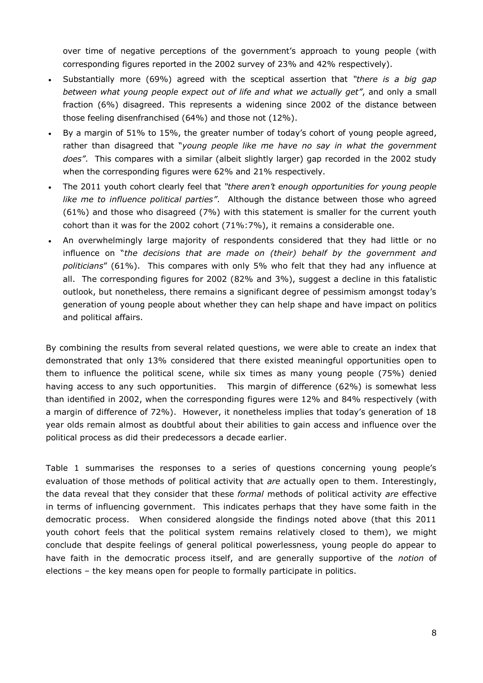over time of negative perceptions of the government's approach to young people (with corresponding figures reported in the 2002 survey of 23% and 42% respectively).

- Substantially more (69%) agreed with the sceptical assertion that *"there is a big gap between what young people expect out of life and what we actually get"*, and only a small fraction (6%) disagreed. This represents a widening since 2002 of the distance between those feeling disenfranchised (64%) and those not (12%).
- By a margin of 51% to 15%, the greater number of today"s cohort of young people agreed, rather than disagreed that "*young people like me have no say in what the government does"*. This compares with a similar (albeit slightly larger) gap recorded in the 2002 study when the corresponding figures were 62% and 21% respectively.
- The 2011 youth cohort clearly feel that *"there aren"t enough opportunities for young people like me to influence political parties"*. Although the distance between those who agreed (61%) and those who disagreed (7%) with this statement is smaller for the current youth cohort than it was for the 2002 cohort (71%:7%), it remains a considerable one.
- An overwhelmingly large majority of respondents considered that they had little or no influence on "*the decisions that are made on (their) behalf by the government and politicians*" (61%). This compares with only 5% who felt that they had any influence at all. The corresponding figures for 2002 (82% and 3%), suggest a decline in this fatalistic outlook, but nonetheless, there remains a significant degree of pessimism amongst today"s generation of young people about whether they can help shape and have impact on politics and political affairs.

By combining the results from several related questions, we were able to create an index that demonstrated that only 13% considered that there existed meaningful opportunities open to them to influence the political scene, while six times as many young people (75%) denied having access to any such opportunities. This margin of difference (62%) is somewhat less than identified in 2002, when the corresponding figures were 12% and 84% respectively (with a margin of difference of 72%). However, it nonetheless implies that today"s generation of 18 year olds remain almost as doubtful about their abilities to gain access and influence over the political process as did their predecessors a decade earlier.

Table 1 summarises the responses to a series of questions concerning young people"s evaluation of those methods of political activity that *are* actually open to them. Interestingly, the data reveal that they consider that these *formal* methods of political activity *are* effective in terms of influencing government. This indicates perhaps that they have some faith in the democratic process. When considered alongside the findings noted above (that this 2011 youth cohort feels that the political system remains relatively closed to them), we might conclude that despite feelings of general political powerlessness, young people do appear to have faith in the democratic process itself, and are generally supportive of the *notion* of elections – the key means open for people to formally participate in politics.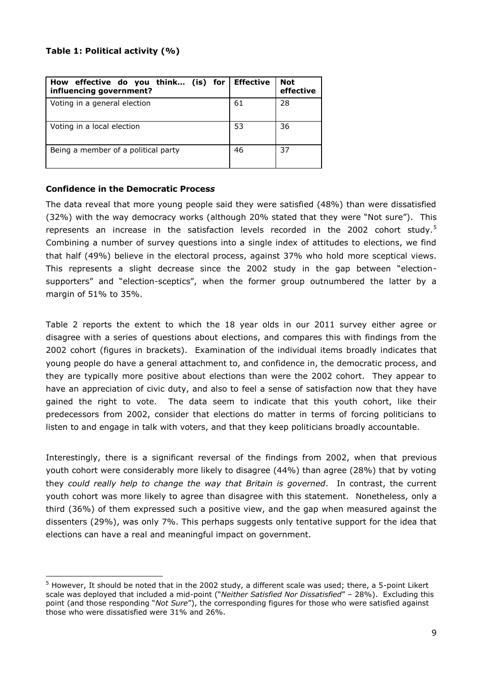## **Table 1: Political activity (%)**

| How effective do you think (is) for<br>influencing government? | <b>Effective</b> | <b>Not</b><br>effective |
|----------------------------------------------------------------|------------------|-------------------------|
| Voting in a general election                                   | 61               | 28                      |
| Voting in a local election                                     | 53               | 36                      |
| Being a member of a political party                            | 46               | 37                      |

## **Confidence in the Democratic Proces***s*

<u>.</u>

The data reveal that more young people said they were satisfied (48%) than were dissatisfied (32%) with the way democracy works (although 20% stated that they were "Not sure"). This represents an increase in the satisfaction levels recorded in the 2002 cohort study.<sup>5</sup> Combining a number of survey questions into a single index of attitudes to elections, we find that half (49%) believe in the electoral process, against 37% who hold more sceptical views. This represents a slight decrease since the 2002 study in the gap between "electionsupporters" and "election-sceptics", when the former group outnumbered the latter by a margin of 51% to 35%.

Table 2 reports the extent to which the 18 year olds in our 2011 survey either agree or disagree with a series of questions about elections, and compares this with findings from the 2002 cohort (figures in brackets). Examination of the individual items broadly indicates that young people do have a general attachment to, and confidence in, the democratic process, and they are typically more positive about elections than were the 2002 cohort. They appear to have an appreciation of civic duty, and also to feel a sense of satisfaction now that they have gained the right to vote. The data seem to indicate that this youth cohort, like their predecessors from 2002, consider that elections do matter in terms of forcing politicians to listen to and engage in talk with voters, and that they keep politicians broadly accountable.

Interestingly, there is a significant reversal of the findings from 2002, when that previous youth cohort were considerably more likely to disagree (44%) than agree (28%) that by voting they *could really help to change the way that Britain is governed*. In contrast, the current youth cohort was more likely to agree than disagree with this statement. Nonetheless, only a third (36%) of them expressed such a positive view, and the gap when measured against the dissenters (29%), was only 7%. This perhaps suggests only tentative support for the idea that elections can have a real and meaningful impact on government.

<sup>5</sup> However, It should be noted that in the 2002 study, a different scale was used; there, a 5-point Likert scale was deployed that included a mid-point ("*Neither Satisfied Nor Dissatisfied*" – 28%). Excluding this point (and those responding "*Not Sure*"), the corresponding figures for those who were satisfied against those who were dissatisfied were 31% and 26%.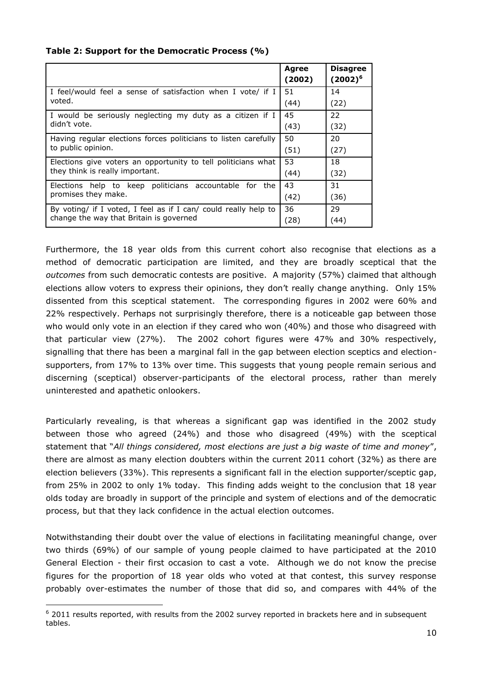#### **Table 2: Support for the Democratic Process (%)**

|                                                                                                            | Agree<br>(2002) | <b>Disagree</b><br>$(2002)^6$ |
|------------------------------------------------------------------------------------------------------------|-----------------|-------------------------------|
| I feel/would feel a sense of satisfaction when I vote/ if I                                                | 51              | 14                            |
| voted.                                                                                                     | (44)            | (22)                          |
| I would be seriously neglecting my duty as a citizen if I<br>didn't vote.                                  | 45              | 22                            |
|                                                                                                            | (43)            | (32)                          |
| Having regular elections forces politicians to listen carefully<br>to public opinion.                      | 50              | 20                            |
|                                                                                                            | (51)            | (27)                          |
| Elections give voters an opportunity to tell politicians what<br>they think is really important.           | 53              | 18                            |
|                                                                                                            | (44)            | (32)                          |
| help to keep politicians accountable<br>for the<br>Elections<br>promises they make.                        | 43              | 31                            |
|                                                                                                            | (42)            | (36)                          |
| By voting/ if I voted, I feel as if I can/ could really help to<br>change the way that Britain is governed | 36              | 29                            |
|                                                                                                            | (28)            | (44)                          |

Furthermore, the 18 year olds from this current cohort also recognise that elections as a method of democratic participation are limited, and they are broadly sceptical that the *outcomes* from such democratic contests are positive. A majority (57%) claimed that although elections allow voters to express their opinions, they don't really change anything. Only 15% dissented from this sceptical statement. The corresponding figures in 2002 were 60% and 22% respectively. Perhaps not surprisingly therefore, there is a noticeable gap between those who would only vote in an election if they cared who won (40%) and those who disagreed with that particular view (27%). The 2002 cohort figures were 47% and 30% respectively, signalling that there has been a marginal fall in the gap between election sceptics and electionsupporters, from 17% to 13% over time. This suggests that young people remain serious and discerning (sceptical) observer-participants of the electoral process, rather than merely uninterested and apathetic onlookers.

Particularly revealing, is that whereas a significant gap was identified in the 2002 study between those who agreed (24%) and those who disagreed (49%) with the sceptical statement that "*All things considered, most elections are just a big waste of time and money*", there are almost as many election doubters within the current 2011 cohort (32%) as there are election believers (33%). This represents a significant fall in the election supporter/sceptic gap, from 25% in 2002 to only 1% today. This finding adds weight to the conclusion that 18 year olds today are broadly in support of the principle and system of elections and of the democratic process, but that they lack confidence in the actual election outcomes.

Notwithstanding their doubt over the value of elections in facilitating meaningful change, over two thirds (69%) of our sample of young people claimed to have participated at the 2010 General Election - their first occasion to cast a vote. Although we do not know the precise figures for the proportion of 18 year olds who voted at that contest, this survey response probably over-estimates the number of those that did so, and compares with 44% of the

 $6$  2011 results reported, with results from the 2002 survey reported in brackets here and in subsequent tables.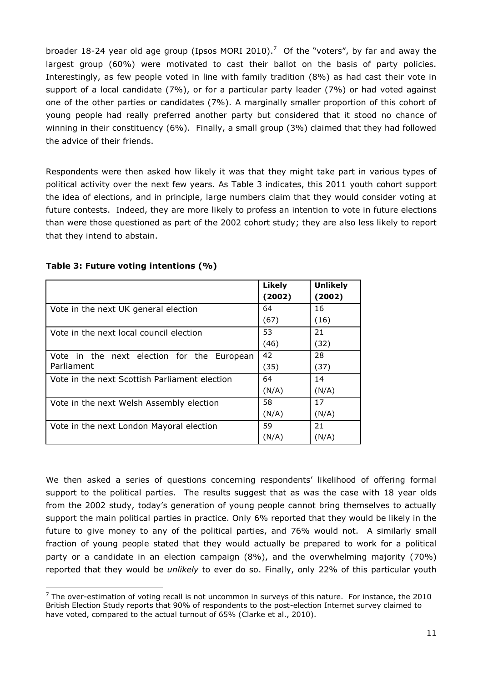broader 18-24 year old age group (Ipsos MORI 2010).<sup>7</sup> Of the "voters", by far and away the largest group (60%) were motivated to cast their ballot on the basis of party policies. Interestingly, as few people voted in line with family tradition (8%) as had cast their vote in support of a local candidate (7%), or for a particular party leader (7%) or had voted against one of the other parties or candidates (7%). A marginally smaller proportion of this cohort of young people had really preferred another party but considered that it stood no chance of winning in their constituency (6%). Finally, a small group (3%) claimed that they had followed the advice of their friends.

Respondents were then asked how likely it was that they might take part in various types of political activity over the next few years. As Table 3 indicates, this 2011 youth cohort support the idea of elections, and in principle, large numbers claim that they would consider voting at future contests. Indeed, they are more likely to profess an intention to vote in future elections than were those questioned as part of the 2002 cohort study; they are also less likely to report that they intend to abstain.

|                                               | Likely | <b>Unlikely</b> |
|-----------------------------------------------|--------|-----------------|
|                                               | (2002) | (2002)          |
| Vote in the next UK general election          | 64     | 16              |
|                                               | (67)   | (16)            |
| Vote in the next local council election       | 53     | 21              |
|                                               | (46)   | (32)            |
| Vote in the next election for the European    | 42     | 28              |
| Parliament                                    | (35)   | (37)            |
| Vote in the next Scottish Parliament election | 64     | 14              |
|                                               | (N/A)  | (N/A)           |
| Vote in the next Welsh Assembly election      | 58     | 17              |
|                                               | (N/A)  | (N/A)           |
| Vote in the next London Mayoral election      | 59     | 21              |
|                                               | (N/A)  | (N/A)           |

## **Table 3: Future voting intentions (%)**

<u>.</u>

We then asked a series of questions concerning respondents' likelihood of offering formal support to the political parties. The results suggest that as was the case with 18 year olds from the 2002 study, today"s generation of young people cannot bring themselves to actually support the main political parties in practice. Only 6% reported that they would be likely in the future to give money to any of the political parties, and 76% would not. A similarly small fraction of young people stated that they would actually be prepared to work for a political party or a candidate in an election campaign (8%), and the overwhelming majority (70%) reported that they would be *unlikely* to ever do so. Finally, only 22% of this particular youth

 $7$  The over-estimation of voting recall is not uncommon in surveys of this nature. For instance, the 2010 British Election Study reports that 90% of respondents to the post-election Internet survey claimed to have voted, compared to the actual turnout of 65% (Clarke et al., 2010).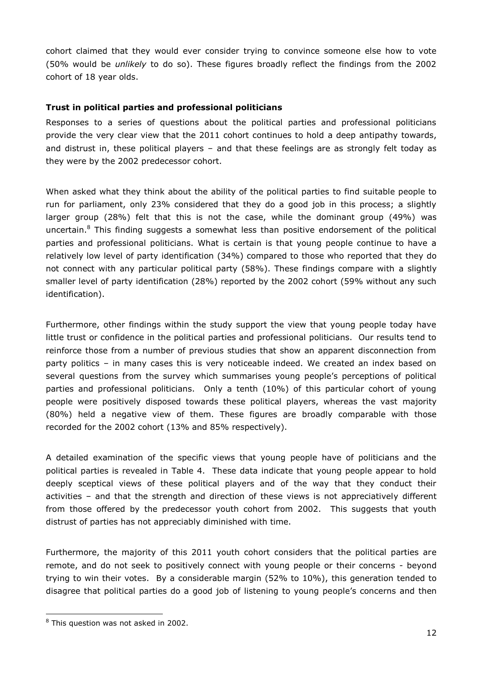cohort claimed that they would ever consider trying to convince someone else how to vote (50% would be *unlikely* to do so). These figures broadly reflect the findings from the 2002 cohort of 18 year olds.

## **Trust in political parties and professional politicians**

Responses to a series of questions about the political parties and professional politicians provide the very clear view that the 2011 cohort continues to hold a deep antipathy towards, and distrust in, these political players – and that these feelings are as strongly felt today as they were by the 2002 predecessor cohort.

When asked what they think about the ability of the political parties to find suitable people to run for parliament, only 23% considered that they do a good job in this process; a slightly larger group (28%) felt that this is not the case, while the dominant group (49%) was uncertain. $8$  This finding suggests a somewhat less than positive endorsement of the political parties and professional politicians. What is certain is that young people continue to have a relatively low level of party identification (34%) compared to those who reported that they do not connect with any particular political party (58%). These findings compare with a slightly smaller level of party identification (28%) reported by the 2002 cohort (59% without any such identification).

Furthermore, other findings within the study support the view that young people today have little trust or confidence in the political parties and professional politicians. Our results tend to reinforce those from a number of previous studies that show an apparent disconnection from party politics – in many cases this is very noticeable indeed. We created an index based on several questions from the survey which summarises young people"s perceptions of political parties and professional politicians. Only a tenth (10%) of this particular cohort of young people were positively disposed towards these political players, whereas the vast majority (80%) held a negative view of them. These figures are broadly comparable with those recorded for the 2002 cohort (13% and 85% respectively).

A detailed examination of the specific views that young people have of politicians and the political parties is revealed in Table 4. These data indicate that young people appear to hold deeply sceptical views of these political players and of the way that they conduct their activities – and that the strength and direction of these views is not appreciatively different from those offered by the predecessor youth cohort from 2002. This suggests that youth distrust of parties has not appreciably diminished with time.

Furthermore, the majority of this 2011 youth cohort considers that the political parties are remote, and do not seek to positively connect with young people or their concerns - beyond trying to win their votes. By a considerable margin (52% to 10%), this generation tended to disagree that political parties do a good job of listening to young people"s concerns and then

<sup>8</sup> This question was not asked in 2002.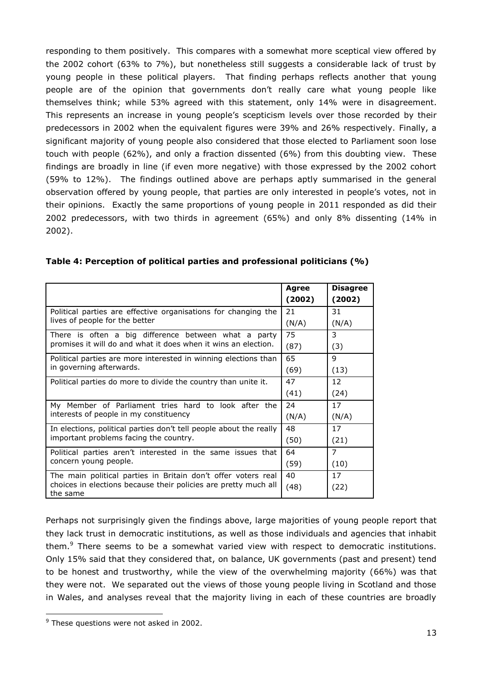responding to them positively. This compares with a somewhat more sceptical view offered by the 2002 cohort (63% to 7%), but nonetheless still suggests a considerable lack of trust by young people in these political players. That finding perhaps reflects another that young people are of the opinion that governments don"t really care what young people like themselves think; while 53% agreed with this statement, only 14% were in disagreement. This represents an increase in young people's scepticism levels over those recorded by their predecessors in 2002 when the equivalent figures were 39% and 26% respectively. Finally, a significant majority of young people also considered that those elected to Parliament soon lose touch with people (62%), and only a fraction dissented (6%) from this doubting view. These findings are broadly in line (if even more negative) with those expressed by the 2002 cohort (59% to 12%). The findings outlined above are perhaps aptly summarised in the general observation offered by young people, that parties are only interested in people"s votes, not in their opinions. Exactly the same proportions of young people in 2011 responded as did their 2002 predecessors, with two thirds in agreement (65%) and only 8% dissenting (14% in 2002).

|                                                                                                                        | Agree  | <b>Disagree</b> |
|------------------------------------------------------------------------------------------------------------------------|--------|-----------------|
|                                                                                                                        | (2002) | (2002)          |
| Political parties are effective organisations for changing the<br>lives of people for the better                       | 21     | 31              |
|                                                                                                                        | (N/A)  | (N/A)           |
| There is often a big difference between what a party<br>promises it will do and what it does when it wins an election. | 75     | 3               |
|                                                                                                                        | (87)   | (3)             |
| Political parties are more interested in winning elections than<br>in governing afterwards.                            | 65     | 9               |
|                                                                                                                        | (69)   | (13)            |
| Political parties do more to divide the country than unite it.                                                         | 47     | 12              |
|                                                                                                                        | (41)   | (24)            |
| My Member of Parliament tries hard to look after the<br>interests of people in my constituency                         | 24     | 17              |
|                                                                                                                        | (N/A)  | (N/A)           |
| In elections, political parties don't tell people about the really<br>important problems facing the country.           | 48     | 17              |
|                                                                                                                        | (50)   | (21)            |
| Political parties aren't interested in the same issues that<br>concern young people.                                   | 64     | $\overline{7}$  |
|                                                                                                                        | (59)   | (10)            |
| The main political parties in Britain don't offer voters real                                                          | 40     | 17              |
| choices in elections because their policies are pretty much all<br>the same                                            | (48)   | (22)            |

Perhaps not surprisingly given the findings above, large majorities of young people report that they lack trust in democratic institutions, as well as those individuals and agencies that inhabit them.<sup>9</sup> There seems to be a somewhat varied view with respect to democratic institutions. Only 15% said that they considered that, on balance, UK governments (past and present) tend to be honest and trustworthy, while the view of the overwhelming majority (66%) was that they were not. We separated out the views of those young people living in Scotland and those in Wales, and analyses reveal that the majority living in each of these countries are broadly

 $9$  These questions were not asked in 2002.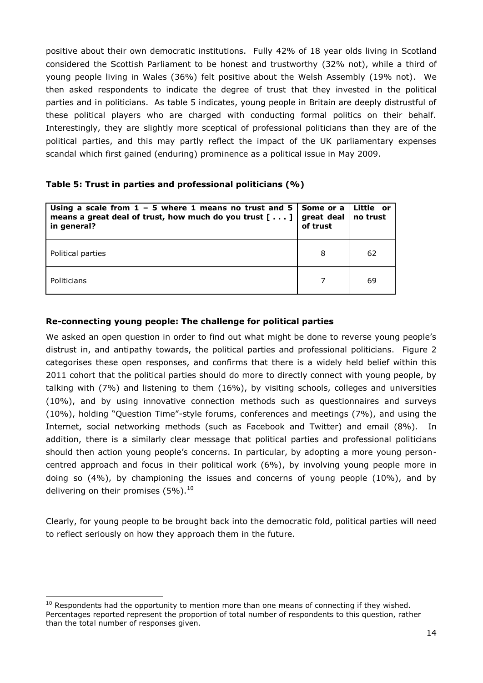positive about their own democratic institutions. Fully 42% of 18 year olds living in Scotland considered the Scottish Parliament to be honest and trustworthy (32% not), while a third of young people living in Wales (36%) felt positive about the Welsh Assembly (19% not). We then asked respondents to indicate the degree of trust that they invested in the political parties and in politicians. As table 5 indicates, young people in Britain are deeply distrustful of these political players who are charged with conducting formal politics on their behalf. Interestingly, they are slightly more sceptical of professional politicians than they are of the political parties, and this may partly reflect the impact of the UK parliamentary expenses scandal which first gained (enduring) prominence as a political issue in May 2009.

## **Table 5: Trust in parties and professional politicians (%)**

| Using a scale from $1 - 5$ where 1 means no trust and 5<br>means a great deal of trust, how much do you trust $[\ldots]$<br>in general? | Some or a<br>great deal<br>of trust | Little or<br>no trust |
|-----------------------------------------------------------------------------------------------------------------------------------------|-------------------------------------|-----------------------|
| Political parties                                                                                                                       | 8                                   | 62                    |
| Politicians                                                                                                                             |                                     | 69                    |

## **Re-connecting young people: The challenge for political parties**

We asked an open question in order to find out what might be done to reverse young people's distrust in, and antipathy towards, the political parties and professional politicians. Figure 2 categorises these open responses, and confirms that there is a widely held belief within this 2011 cohort that the political parties should do more to directly connect with young people, by talking with (7%) and listening to them (16%), by visiting schools, colleges and universities (10%), and by using innovative connection methods such as questionnaires and surveys (10%), holding "Question Time"-style forums, conferences and meetings (7%), and using the Internet, social networking methods (such as Facebook and Twitter) and email (8%). In addition, there is a similarly clear message that political parties and professional politicians should then action young people"s concerns. In particular, by adopting a more young personcentred approach and focus in their political work (6%), by involving young people more in doing so (4%), by championing the issues and concerns of young people (10%), and by delivering on their promises  $(5\%)$ .<sup>10</sup>

Clearly, for young people to be brought back into the democratic fold, political parties will need to reflect seriously on how they approach them in the future.

 $10$  Respondents had the opportunity to mention more than one means of connecting if they wished. Percentages reported represent the proportion of total number of respondents to this question, rather than the total number of responses given.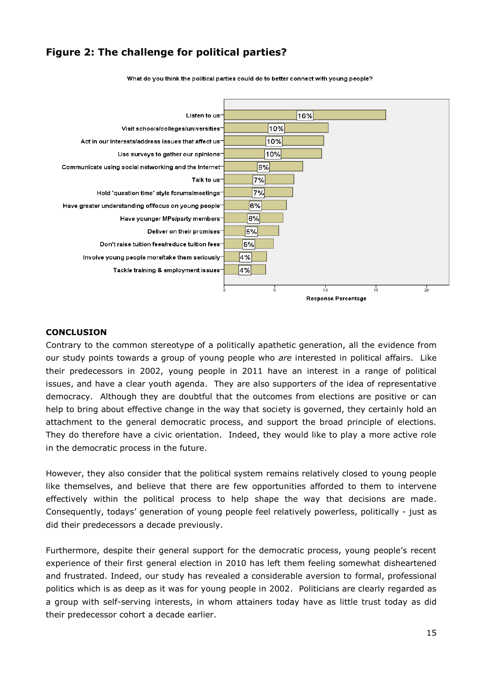# **Figure 2: The challenge for political parties?**



What do you think the political parties could do to better connect with young people?

#### **CONCLUSION**

Contrary to the common stereotype of a politically apathetic generation, all the evidence from our study points towards a group of young people who *are* interested in political affairs. Like their predecessors in 2002, young people in 2011 have an interest in a range of political issues, and have a clear youth agenda. They are also supporters of the idea of representative democracy. Although they are doubtful that the outcomes from elections are positive or can help to bring about effective change in the way that society is governed, they certainly hold an attachment to the general democratic process, and support the broad principle of elections. They do therefore have a civic orientation. Indeed, they would like to play a more active role in the democratic process in the future.

However, they also consider that the political system remains relatively closed to young people like themselves, and believe that there are few opportunities afforded to them to intervene effectively within the political process to help shape the way that decisions are made. Consequently, todays" generation of young people feel relatively powerless, politically - just as did their predecessors a decade previously.

Furthermore, despite their general support for the democratic process, young people's recent experience of their first general election in 2010 has left them feeling somewhat disheartened and frustrated. Indeed, our study has revealed a considerable aversion to formal, professional politics which is as deep as it was for young people in 2002. Politicians are clearly regarded as a group with self-serving interests, in whom attainers today have as little trust today as did their predecessor cohort a decade earlier.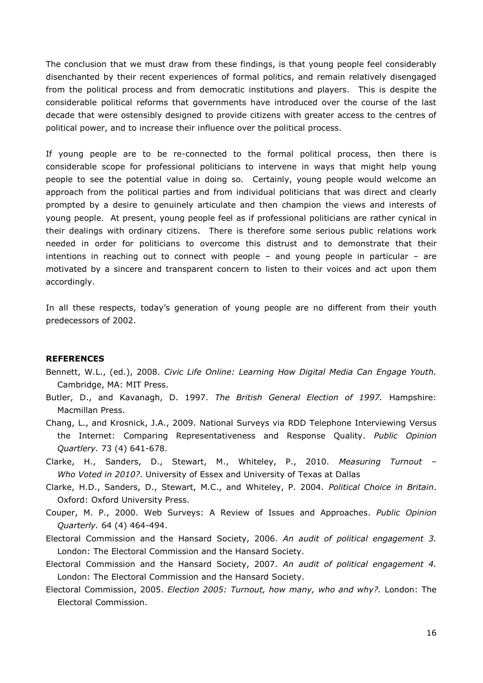The conclusion that we must draw from these findings, is that young people feel considerably disenchanted by their recent experiences of formal politics, and remain relatively disengaged from the political process and from democratic institutions and players. This is despite the considerable political reforms that governments have introduced over the course of the last decade that were ostensibly designed to provide citizens with greater access to the centres of political power, and to increase their influence over the political process.

If young people are to be re-connected to the formal political process, then there is considerable scope for professional politicians to intervene in ways that might help young people to see the potential value in doing so. Certainly, young people would welcome an approach from the political parties and from individual politicians that was direct and clearly prompted by a desire to genuinely articulate and then champion the views and interests of young people. At present, young people feel as if professional politicians are rather cynical in their dealings with ordinary citizens. There is therefore some serious public relations work needed in order for politicians to overcome this distrust and to demonstrate that their intentions in reaching out to connect with people – and young people in particular – are motivated by a sincere and transparent concern to listen to their voices and act upon them accordingly.

In all these respects, today's generation of young people are no different from their youth predecessors of 2002.

#### **REFERENCES**

- Bennett, W.L., (ed.), 2008. *Civic Life Online: Learning How Digital Media Can Engage Youth.* Cambridge, MA: MIT Press.
- Butler, D., and Kavanagh, D. 1997. *The British General Election of 1997.* Hampshire: Macmillan Press.
- Chang, L., and Krosnick, J.A., 2009. National Surveys via RDD Telephone Interviewing Versus the Internet: Comparing Representativeness and Response Quality. *Public Opinion Quartlery.* 73 (4) 641-678.
- Clarke, H., Sanders, D., Stewart, M., Whiteley, P., 2010. *Measuring Turnout – Who Voted in 2010?*. University of Essex and University of Texas at Dallas
- Clarke, H.D., Sanders, D., Stewart, M.C., and Whiteley, P. 2004. *Political Choice in Britain*. Oxford: Oxford University Press.
- Couper, M. P., 2000. Web Surveys: A Review of Issues and Approaches. *Public Opinion Quarterly.* 64 (4) 464-494.
- Electoral Commission and the Hansard Society, 2006. *An audit of political engagement 3.*  London: The Electoral Commission and the Hansard Society.
- Electoral Commission and the Hansard Society, 2007. *An audit of political engagement 4.*  London: The Electoral Commission and the Hansard Society.
- Electoral Commission, 2005. *Election 2005: Turnout, how many, who and why?.* London: The Electoral Commission.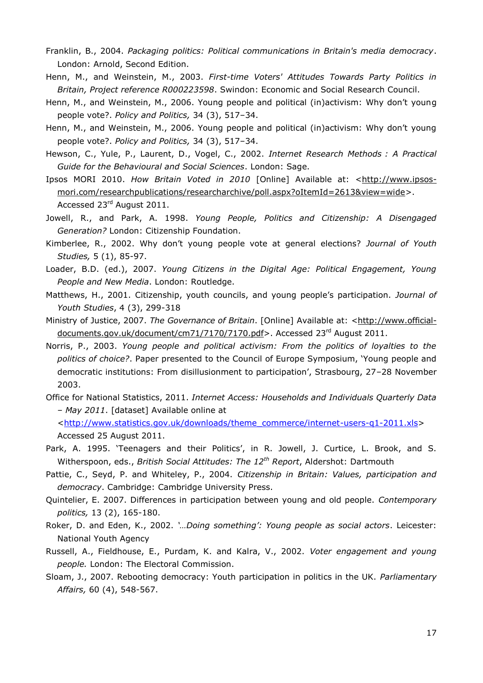- Franklin, B., 2004. *Packaging politics: Political communications in Britain's media democracy*. London: Arnold, Second Edition.
- Henn, M., and Weinstein, M., 2003. *First-time Voters' Attitudes Towards Party Politics in Britain, Project reference R000223598*. Swindon: Economic and Social Research Council.
- Henn, M., and Weinstein, M., 2006. Young people and political (in)activism: Why don"t young people vote?. *Policy and Politics,* 34 (3), 517–34.
- Henn, M., and Weinstein, M., 2006. Young people and political (in)activism: Why don't young people vote?. *Policy and Politics,* 34 (3), 517–34.
- Hewson, C., Yule, P., Laurent, D., Vogel, C., 2002. *Internet Research Methods : A Practical Guide for the Behavioural and Social Sciences*. London: Sage.
- Ipsos MORI 2010. *How Britain Voted in 2010* [Online] Available at: [<http://www.ipsos](http://www.ipsos-mori.com/researchpublications/researcharchive/poll.aspx?oItemId=2613&view=wide)[mori.com/researchpublications/researcharchive/poll.aspx?oItemId=2613&view=wide>](http://www.ipsos-mori.com/researchpublications/researcharchive/poll.aspx?oItemId=2613&view=wide). Accessed 23rd August 2011.
- Jowell, R., and Park, A. 1998. *Young People, Politics and Citizenship: A Disengaged Generation?* London: Citizenship Foundation.
- Kimberlee, R., 2002. Why don"t young people vote at general elections? *Journal of Youth Studies,* 5 (1), 85-97.
- Loader, B.D. (ed.), 2007. *Young Citizens in the Digital Age: Political Engagement, Young People and New Media*. London: Routledge.
- Matthews, H., 2001. Citizenship, youth councils, and young people"s participation. *Journal of Youth Studies*, 4 (3), 299-318
- Ministry of Justice, 2007. *The Governance of Britain*. [Online] Available at: [<http://www.official](http://www.official-documents.gov.uk/document/cm71/7170/7170.pdf)[documents.gov.uk/document/cm71/7170/7170.pdf>](http://www.official-documents.gov.uk/document/cm71/7170/7170.pdf). Accessed 23<sup>rd</sup> August 2011.
- Norris, P., 2003. *Young people and political activism: From the politics of loyalties to the politics of choice?*. Paper presented to the Council of Europe Symposium, "Young people and democratic institutions: From disillusionment to participation', Strasbourg, 27-28 November 2003.
- Office for National Statistics, 2011. *Internet Access: Households and Individuals Quarterly Data – May 2011*. [dataset] Available online at [<http://www.statistics.gov.uk/downloads/theme\\_commerce/internet-users-q1-2011.xls>](http://www.statistics.gov.uk/downloads/theme_commerce/internet-users-q1-2011.xls)
- Park, A. 1995. 'Teenagers and their Politics', in R. Jowell, J. Curtice, L. Brook, and S. Witherspoon, eds., *British Social Attitudes: The 12th Report*, Aldershot: Dartmouth

Accessed 25 August 2011.

- Pattie, C., Seyd, P. and Whiteley, P., 2004. *Citizenship in Britain: Values, participation and democracy*. Cambridge: Cambridge University Press.
- Quintelier, E. 2007. Differences in participation between young and old people. *Contemporary politics,* 13 (2), 165-180.
- Roker, D. and Eden, K., 2002. *"…Doing something": Young people as social actors*. Leicester: National Youth Agency
- Russell, A., Fieldhouse, E., Purdam, K. and Kalra, V., 2002. *Voter engagement and young people.* London: The Electoral Commission.
- Sloam, J., 2007. Rebooting democracy: Youth participation in politics in the UK. *Parliamentary Affairs,* 60 (4), 548-567.